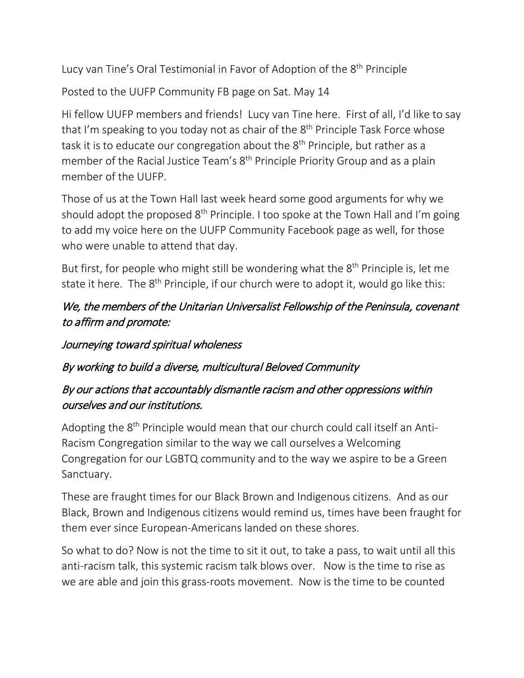Lucy van Tine's Oral Testimonial in Favor of Adoption of the 8<sup>th</sup> Principle

Posted to the UUFP Community FB page on Sat. May 14

Hi fellow UUFP members and friends! Lucy van Tine here. First of all, I'd like to say that I'm speaking to you today not as chair of the 8<sup>th</sup> Principle Task Force whose task it is to educate our congregation about the  $8<sup>th</sup>$  Principle, but rather as a member of the Racial Justice Team's 8<sup>th</sup> Principle Priority Group and as a plain member of the UUFP.

Those of us at the Town Hall last week heard some good arguments for why we should adopt the proposed  $8<sup>th</sup>$  Principle. I too spoke at the Town Hall and I'm going to add my voice here on the UUFP Community Facebook page as well, for those who were unable to attend that day.

But first, for people who might still be wondering what the  $8<sup>th</sup>$  Principle is, let me state it here. The  $8<sup>th</sup>$  Principle, if our church were to adopt it, would go like this:

## We, the members of the Unitarian Universalist Fellowship of the Peninsula, covenant to affirm and promote:

## Journeying toward spiritual wholeness

## By working to build a diverse, multicultural Beloved Community

## By our actions that accountably dismantle racism and other oppressions within ourselves and our institutions.

Adopting the 8<sup>th</sup> Principle would mean that our church could call itself an Anti-Racism Congregation similar to the way we call ourselves a Welcoming Congregation for our LGBTQ community and to the way we aspire to be a Green Sanctuary.

These are fraught times for our Black Brown and Indigenous citizens. And as our Black, Brown and Indigenous citizens would remind us, times have been fraught for them ever since European-Americans landed on these shores.

So what to do? Now is not the time to sit it out, to take a pass, to wait until all this anti-racism talk, this systemic racism talk blows over. Now is the time to rise as we are able and join this grass-roots movement. Now is the time to be counted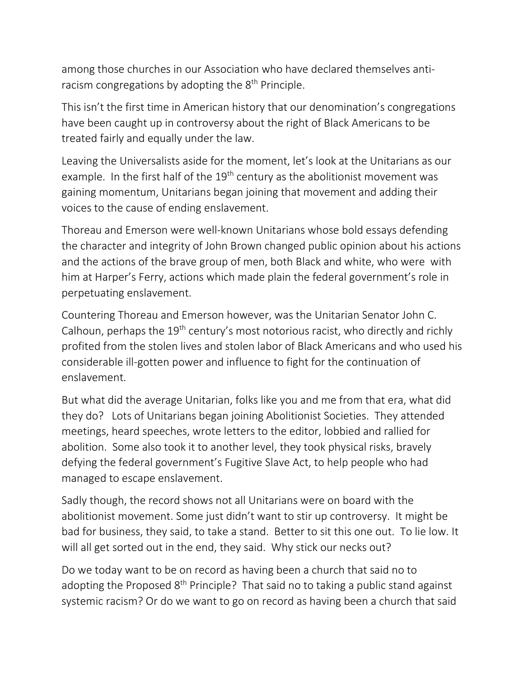among those churches in our Association who have declared themselves antiracism congregations by adopting the  $8<sup>th</sup>$  Principle.

This isn't the first time in American history that our denomination's congregations have been caught up in controversy about the right of Black Americans to be treated fairly and equally under the law.

Leaving the Universalists aside for the moment, let's look at the Unitarians as our example. In the first half of the 19<sup>th</sup> century as the abolitionist movement was gaining momentum, Unitarians began joining that movement and adding their voices to the cause of ending enslavement.

Thoreau and Emerson were well-known Unitarians whose bold essays defending the character and integrity of John Brown changed public opinion about his actions and the actions of the brave group of men, both Black and white, who were with him at Harper's Ferry, actions which made plain the federal government's role in perpetuating enslavement.

Countering Thoreau and Emerson however, was the Unitarian Senator John C. Calhoun, perhaps the  $19<sup>th</sup>$  century's most notorious racist, who directly and richly profited from the stolen lives and stolen labor of Black Americans and who used his considerable ill-gotten power and influence to fight for the continuation of enslavement.

But what did the average Unitarian, folks like you and me from that era, what did they do? Lots of Unitarians began joining Abolitionist Societies. They attended meetings, heard speeches, wrote letters to the editor, lobbied and rallied for abolition. Some also took it to another level, they took physical risks, bravely defying the federal government's Fugitive Slave Act, to help people who had managed to escape enslavement.

Sadly though, the record shows not all Unitarians were on board with the abolitionist movement. Some just didn't want to stir up controversy. It might be bad for business, they said, to take a stand. Better to sit this one out. To lie low. It will all get sorted out in the end, they said. Why stick our necks out?

Do we today want to be on record as having been a church that said no to adopting the Proposed  $8<sup>th</sup>$  Principle? That said no to taking a public stand against systemic racism? Or do we want to go on record as having been a church that said